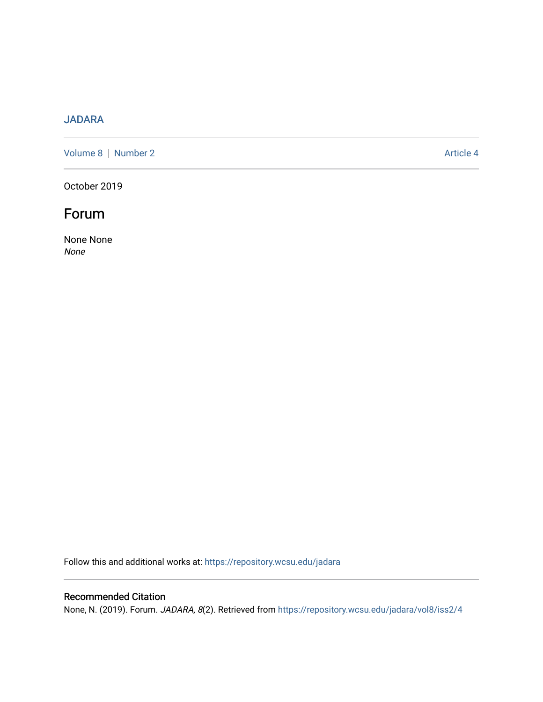### [JADARA](https://repository.wcsu.edu/jadara)

[Volume 8](https://repository.wcsu.edu/jadara/vol8) | [Number 2](https://repository.wcsu.edu/jadara/vol8/iss2) Article 4

October 2019

# Forum

None None None

Follow this and additional works at: [https://repository.wcsu.edu/jadara](https://repository.wcsu.edu/jadara?utm_source=repository.wcsu.edu%2Fjadara%2Fvol8%2Fiss2%2F4&utm_medium=PDF&utm_campaign=PDFCoverPages)

#### Recommended Citation

None, N. (2019). Forum. JADARA, 8(2). Retrieved from [https://repository.wcsu.edu/jadara/vol8/iss2/4](https://repository.wcsu.edu/jadara/vol8/iss2/4?utm_source=repository.wcsu.edu%2Fjadara%2Fvol8%2Fiss2%2F4&utm_medium=PDF&utm_campaign=PDFCoverPages)